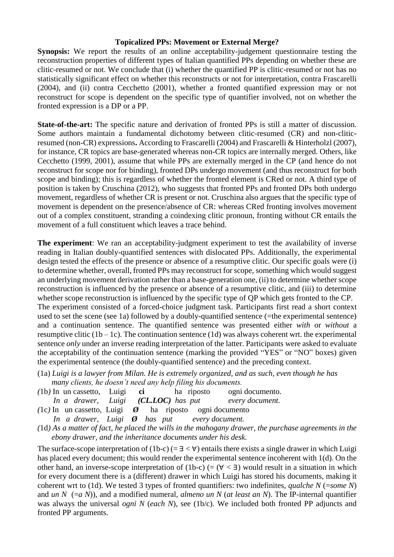## **Topicalized PPs: Movement or External Merge?**

**Synopsis:** We report the results of an online acceptability-judgement questionnaire testing the reconstruction properties of different types of Italian quantified PPs depending on whether these are clitic-resumed or not. We conclude that (i) whether the quantified PP is clitic-resumed or not has no statistically significant effect on whether this reconstructs or not for interpretation, contra Frascarelli (2004), and (ii) contra Cecchetto (2001), whether a fronted quantified expression may or not reconstruct for scope is dependent on the specific type of quantifier involved, not on whether the fronted expression is a DP or a PP.

**State-of-the-art:** The specific nature and derivation of fronted PPs is still a matter of discussion. Some authors maintain a fundamental dichotomy between clitic-resumed (CR) and non-cliticresumed (non-CR) expressions**.** According to Frascarelli (2004) and Frascarelli & Hinterholzl (2007), for instance, CR topics are base-generated whereas non-CR topics are internally merged. Others, like Cecchetto (1999, 2001), assume that while PPs are externally merged in the CP (and hence do not reconstruct for scope nor for binding), fronted DPs undergo movement (and thus reconstruct for both scope and binding); this is regardless of whether the fronted element is CRed or not. A third type of position is taken by Cruschina (2012), who suggests that fronted PPs and fronted DPs both undergo movement, regardless of whether CR is present or not. Cruschina also argues that the specific type of movement is dependent on the presence/absence of CR: whereas CRed fronting involves movement out of a complex constituent, stranding a coindexing clitic pronoun, fronting without CR entails the movement of a full constituent which leaves a trace behind.

**The experiment**: We ran an acceptability-judgment experiment to test the availability of inverse reading in Italian doubly-quantified sentences with dislocated PPs. Additionally, the experimental design tested the effects of the presence or absence of a resumptive clitic. Our specific goals were (i) to determine whether, overall, fronted PPs may reconstruct for scope, something which would suggest an underlying movement derivation rather than a base-generation one, (ii) to determine whether scope reconstruction is influenced by the presence or absence of a resumptive clitic, and (iii) to determine whether scope reconstruction is influenced by the specific type of QP which gets fronted to the CP. The experiment consisted of a forced-choice judgment task. Participants first read a short context used to set the scene (see 1a) followed by a doubly-quantified sentence (=the experimental sentence) and a continuation sentence. The quantified sentence was presented either *with* or *without* a resumptive clitic  $(1b - 1c)$ . The continuation sentence  $(1d)$  was always coherent wrt. the experimental sentence *only* under an inverse reading interpretation of the latter. Participants were asked to evaluate the acceptability of the continuation sentence (marking the provided "YES" or "NO" boxes) given the experimental sentence (the doubly-quantified sentence) and the preceding context.

- (1a) *Luigi is a lawyer from Milan. He is extremely organized, and as such, even though he has many clients, he doesn't need any help filing his documents.*
- *(*1b*)* In un cassetto, Luigi **ci** ha riposto ogni documento. *In a drawer, Luigi (CL.LOC) has put every document.*
- *(*1c*)* In un cassetto, Luigi *Ø* ha riposto ogni documento
- *In a drawer, Luigi Ø has put every document.*
- *(*1d*) As a matter of fact, he placed the wills in the mahogany drawer, the purchase agreements in the ebony drawer, and the inheritance documents under his desk.*

The surface-scope interpretation of (1b-c) (=  $\exists$  <  $\forall$ ) entails there exists a single drawer in which Luigi has placed every document; this would render the experimental sentence incoherent with 1(d). On the other hand, an inverse-scope interpretation of (1b-c) (=  $(\forall \leq \exists)$  would result in a situation in which for every document there is a (different) drawer in which Luigi has stored his documents, making it coherent wrt to (1d). We tested 3 types of fronted quantifiers: two indefinites, *qualche N* (=*some N*) and *un N* (=a N)), and a modified numeral, *almeno un N* (at least an N). The IP-internal quantifier was always the universal *ogni N* (*each N*), see (1b/c). We included both fronted PP adjuncts and fronted PP arguments.